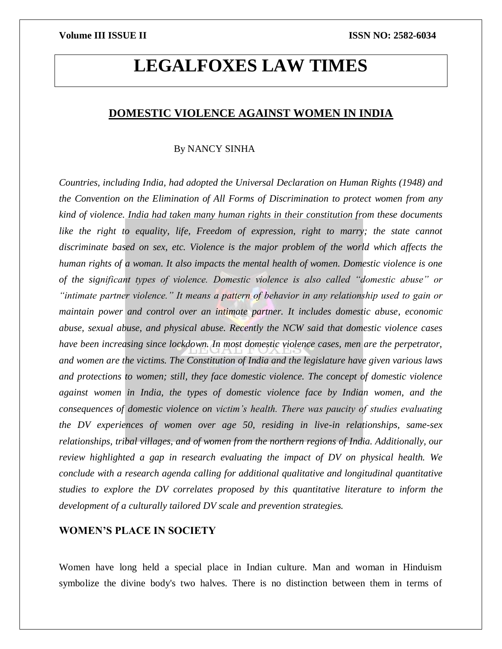# **LEGALFOXES LAW TIMES**

# **DOMESTIC VIOLENCE AGAINST WOMEN IN INDIA**

# By NANCY SINHA

*Countries, including India, had adopted the Universal Declaration on Human Rights (1948) and the Convention on the Elimination of All Forms of Discrimination to protect women from any kind of violence. India had taken many human rights in their constitution from these documents*  like the right to equality, life, Freedom of expression, right to marry; the state cannot *discriminate based on sex, etc. Violence is the major problem of the world which affects the human rights of a woman. It also impacts the mental health of women. Domestic violence is one of the significant types of violence. Domestic violence is also called "domestic abuse" or "intimate partner violence." It means a pattern of behavior in any relationship used to gain or maintain power and control over an intimate partner. It includes domestic abuse, economic abuse, sexual abuse, and physical abuse. Recently the NCW said that domestic violence cases have been increasing since lockdown. In most domestic violence cases, men are the perpetrator, and women are the victims. The Constitution of India and the legislature have given various laws and protections to women; still, they face domestic violence. The concept of domestic violence against women in India, the types of domestic violence face by Indian women, and the consequences of domestic violence on victim's health. There was paucity of studies evaluating the DV experiences of women over age 50, residing in live-in relationships, same-sex relationships, tribal villages, and of women from the northern regions of India. Additionally, our review highlighted a gap in research evaluating the impact of DV on physical health. We conclude with a research agenda calling for additional qualitative and longitudinal quantitative studies to explore the DV correlates proposed by this quantitative literature to inform the development of a culturally tailored DV scale and prevention strategies.*

# **WOMEN'S PLACE IN SOCIETY**

Women have long held a special place in Indian culture. Man and woman in Hinduism symbolize the divine body's two halves. There is no distinction between them in terms of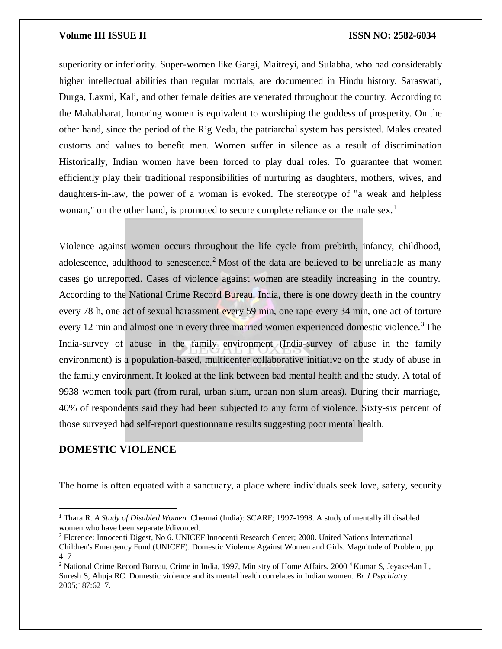superiority or inferiority. Super-women like Gargi, Maitreyi, and Sulabha, who had considerably higher intellectual abilities than regular mortals, are documented in Hindu history. Saraswati, Durga, Laxmi, Kali, and other female deities are venerated throughout the country. According to the Mahabharat, honoring women is equivalent to worshiping the goddess of prosperity. On the other hand, since the period of the Rig Veda, the patriarchal system has persisted. Males created customs and values to benefit men. Women suffer in silence as a result of discrimination Historically, Indian women have been forced to play dual roles. To guarantee that women efficiently play their traditional responsibilities of nurturing as daughters, mothers, wives, and daughters-in-law, the power of a woman is evoked. The stereotype of "a weak and helpless woman," on the other hand, is promoted to secure complete reliance on the male sex.<sup>1</sup>

Violence against women occurs throughout the life cycle from prebirth, infancy, childhood, adolescence, adulthood to senescence.<sup>2</sup> Most of the data are believed to be unreliable as many cases go unreported. Cases of violence against women are steadily increasing in the country. According to the National Crime Record Bureau, India, there is one dowry death in the country every 78 h, one act of sexual harassment every 59 min, one rape every 34 min, one act of torture every 12 min and almost one in every three married women experienced domestic violence.<sup>3</sup> The India-survey of abuse in the family environment (India-survey of abuse in the family environment) is a population-based, multicenter collaborative initiative on the study of abuse in the family environment. It looked at the link between bad mental health and the study. A total of 9938 women took part (from rural, urban slum, urban non slum areas). During their marriage, 40% of respondents said they had been subjected to any form of violence. Sixty-six percent of those surveyed had self-report questionnaire results suggesting poor mental health.

# **DOMESTIC VIOLENCE**

 $\overline{a}$ 

The home is often equated with a sanctuary, a place where individuals seek love, safety, security

<sup>&</sup>lt;sup>1</sup> Thara R. *A Study of Disabled Women*. Chennai (India): SCARF; 1997-1998. A study of mentally ill disabled women who have been separated/divorced.

<sup>2</sup> Florence: Innocenti Digest, No 6. UNICEF Innocenti Research Center; 2000. United Nations International Children's Emergency Fund (UNICEF). Domestic Violence Against Women and Girls. Magnitude of Problem; pp. 4–7

<sup>&</sup>lt;sup>3</sup> National Crime Record Bureau, Crime in India, 1997, Ministry of Home Affairs. 2000<sup>4</sup> Kumar S, Jeyaseelan L, Suresh S, Ahuja RC. Domestic violence and its mental health correlates in Indian women. *Br J Psychiatry.*  2005;187:62–7.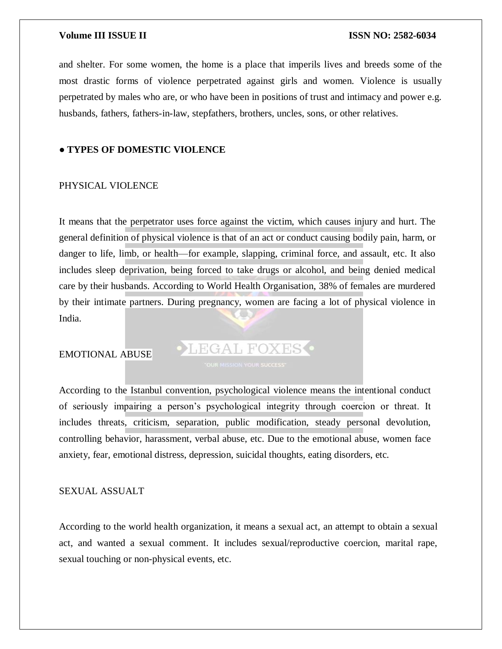and shelter. For some women, the home is a place that imperils lives and breeds some of the most drastic forms of violence perpetrated against girls and women. Violence is usually perpetrated by males who are, or who have been in positions of trust and intimacy and power e.g. husbands, fathers, fathers-in-law, stepfathers, brothers, uncles, sons, or other relatives.

#### **● TYPES OF DOMESTIC VIOLENCE**

# PHYSICAL VIOLENCE

It means that the perpetrator uses force against the victim, which causes injury and hurt. The general definition of physical violence is that of an act or conduct causing bodily pain, harm, or danger to life, limb, or health—for example, slapping, criminal force, and assault, etc. It also includes sleep deprivation, being forced to take drugs or alcohol, and being denied medical care by their husbands. According to World Health Organisation, 38% of females are murdered by their intimate partners. During pregnancy, women are facing a lot of physical violence in India.

## EMOTIONAL ABUSE

LEGAL FOXES .

According to the Istanbul convention, psychological violence means the intentional conduct of seriously impairing a person's psychological integrity through coercion or threat. It includes threats, criticism, separation, public modification, steady personal devolution, controlling behavior, harassment, verbal abuse, etc. Due to the emotional abuse, women face anxiety, fear, emotional distress, depression, suicidal thoughts, eating disorders, etc.

### SEXUAL ASSUALT

According to the world health organization, it means a sexual act, an attempt to obtain a sexual act, and wanted a sexual comment. It includes sexual/reproductive coercion, marital rape, sexual touching or non-physical events, etc.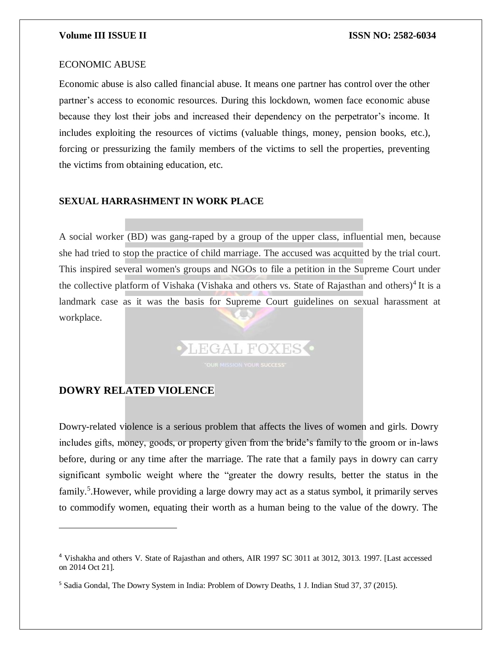# ECONOMIC ABUSE

Economic abuse is also called financial abuse. It means one partner has control over the other partner's access to economic resources. During this lockdown, women face economic abuse because they lost their jobs and increased their dependency on the perpetrator's income. It includes exploiting the resources of victims (valuable things, money, pension books, etc.), forcing or pressurizing the family members of the victims to sell the properties, preventing the victims from obtaining education, etc.

#### **SEXUAL HARRASHMENT IN WORK PLACE**

A social worker (BD) was gang-raped by a group of the upper class, influential men, because she had tried to stop the practice of child marriage. The accused was acquitted by the trial court. This inspired several women's groups and NGOs to file a petition in the Supreme Court under the collective platform of Vishaka (Vishaka and others vs. State of Rajasthan and others)<sup>4</sup> It is a landmark case as it was the basis for Supreme Court guidelines on sexual harassment at workplace.

LEGAL FOXES O

# **DOWRY RELATED VIOLENCE**

 $\overline{\phantom{a}}$ 

Dowry-related violence is a serious problem that affects the lives of women and girls. Dowry includes gifts, money, goods, or property given from the bride's family to the groom or in-laws before, during or any time after the marriage. The rate that a family pays in dowry can carry significant symbolic weight where the "greater the dowry results, better the status in the family.<sup>5</sup>. However, while providing a large dowry may act as a status symbol, it primarily serves to commodify women, equating their worth as a human being to the value of the dowry. The

<sup>4</sup> Vishakha and others V. State of Rajasthan and others, AIR 1997 SC 3011 at 3012, 3013. 1997. [Last accessed on 2014 Oct 21].

<sup>5</sup> Sadia Gondal, The Dowry System in India: Problem of Dowry Deaths, 1 J. Indian Stud 37, 37 (2015).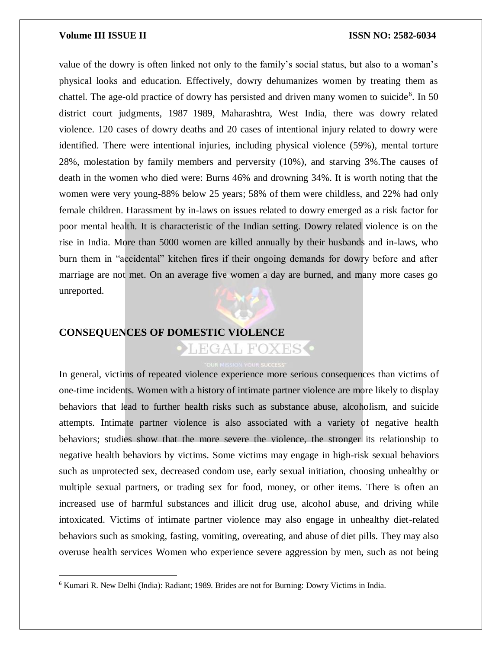$\overline{a}$ 

value of the dowry is often linked not only to the family's social status, but also to a woman's physical looks and education. Effectively, dowry dehumanizes women by treating them as chattel. The age-old practice of dowry has persisted and driven many women to suicide<sup>6</sup>. In 50 district court judgments, 1987–1989, Maharashtra, West India, there was dowry related violence. 120 cases of dowry deaths and 20 cases of intentional injury related to dowry were identified. There were intentional injuries, including physical violence (59%), mental torture 28%, molestation by family members and perversity (10%), and starving 3%.The causes of death in the women who died were: Burns 46% and drowning 34%. It is worth noting that the women were very young-88% below 25 years; 58% of them were childless, and 22% had only female children. Harassment by in-laws on issues related to dowry emerged as a risk factor for poor mental health. It is characteristic of the Indian setting. Dowry related violence is on the rise in India. More than 5000 women are killed annually by their husbands and in-laws, who burn them in "accidental" kitchen fires if their ongoing demands for dowry before and after marriage are not met. On an average five women a day are burned, and many more cases go unreported.

# **CONSEQUENCES OF DOMESTIC VIOLENCE**

EGAL FOXES

In general, victims of repeated violence experience more serious consequences than victims of one-time incidents. Women with a history of intimate partner violence are more likely to display behaviors that lead to further health risks such as substance abuse, alcoholism, and suicide attempts. Intimate partner violence is also associated with a variety of negative health behaviors; studies show that the more severe the violence, the stronger its relationship to negative health behaviors by victims. Some victims may engage in high-risk sexual behaviors such as unprotected sex, decreased condom use, early sexual initiation, choosing unhealthy or multiple sexual partners, or trading sex for food, money, or other items. There is often an increased use of harmful substances and illicit drug use, alcohol abuse, and driving while intoxicated. Victims of intimate partner violence may also engage in unhealthy diet-related behaviors such as smoking, fasting, vomiting, overeating, and abuse of diet pills. They may also overuse health services Women who experience severe aggression by men, such as not being

<sup>6</sup> Kumari R. New Delhi (India): Radiant; 1989. Brides are not for Burning: Dowry Victims in India.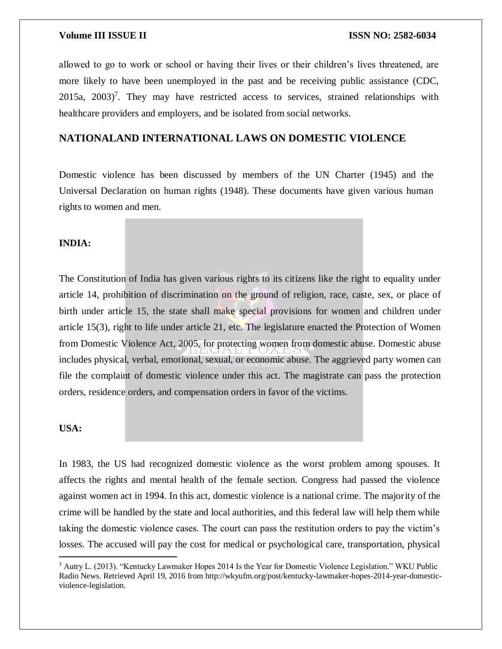allowed to go to work or school or having their lives or their children's lives threatened, are more likely to have been unemployed in the past and be receiving public assistance (CDC,  $2015a$ ,  $2003$ <sup>7</sup>. They may have restricted access to services, strained relationships with healthcare providers and employers, and be isolated from social networks.

# **NATIONALAND INTERNATIONAL LAWS ON DOMESTIC VIOLENCE**

Domestic violence has been discussed by members of the UN Charter (1945) and the Universal Declaration on human rights (1948). These documents have given various human rights to women and men.

# **INDIA:**

The Constitution of India has given various rights to its citizens like the right to equality under article 14, prohibition of discrimination on the ground of religion, race, caste, sex, or place of birth under article 15, the state shall make special provisions for women and children under article 15(3), right to life under article 21, etc. The legislature enacted the Protection of Women from Domestic Violence Act, 2005, for protecting women from domestic abuse. Domestic abuse includes physical, verbal, emotional, sexual, or economic abuse. The aggrieved party women can file the complaint of domestic violence under this act. The magistrate can pass the protection orders, residence orders, and compensation orders in favor of the victims.

# **USA:**

 $\overline{a}$ 

In 1983, the US had recognized domestic violence as the worst problem among spouses. It affects the rights and mental health of the female section. Congress had passed the violence against women act in 1994. In this act, domestic violence is a national crime. The majority of the crime will be handled by the state and local authorities, and this federal law will help them while taking the domestic violence cases. The court can pass the restitution orders to pay the victim's losses. The accused will pay the cost for medical or psychological care, transportation, physical

<sup>7</sup> Autry L. (2013). "Kentucky Lawmaker Hopes 2014 Is the Year for Domestic Violence Legislation." WKU Public Radio News. Retrieved April 19, 2016 from http://wkyufm.org/post/kentucky-lawmaker-hopes-2014-year-domesticviolence-legislation.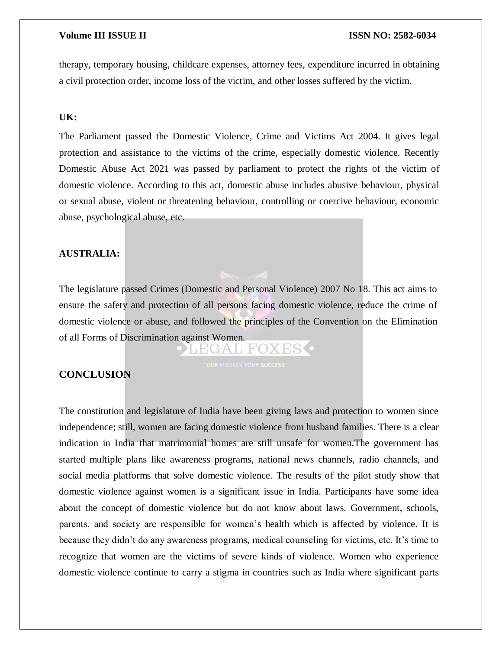therapy, temporary housing, childcare expenses, attorney fees, expenditure incurred in obtaining a civil protection order, income loss of the victim, and other losses suffered by the victim.

### **UK:**

The Parliament passed the Domestic Violence, Crime and Victims Act 2004. It gives legal protection and assistance to the victims of the crime, especially domestic violence. Recently Domestic Abuse Act 2021 was passed by parliament to protect the rights of the victim of domestic violence. According to this act, domestic abuse includes abusive behaviour, physical or sexual abuse, violent or threatening behaviour, controlling or coercive behaviour, economic abuse, psychological abuse, etc.

### **AUSTRALIA:**

The legislature passed Crimes (Domestic and Personal Violence) 2007 No 18. This act aims to ensure the safety and protection of all persons facing domestic violence, reduce the crime of domestic violence or abuse, and followed the principles of the Convention on the Elimination of all Forms of Discrimination against Women.

EGAL FOX

#### **CONCLUSION**

The constitution and legislature of India have been giving laws and protection to women since independence; still, women are facing domestic violence from husband families. There is a clear indication in India that matrimonial homes are still unsafe for women.The government has started multiple plans like awareness programs, national news channels, radio channels, and social media platforms that solve domestic violence. The results of the pilot study show that domestic violence against women is a significant issue in India. Participants have some idea about the concept of domestic violence but do not know about laws. Government, schools, parents, and society are responsible for women's health which is affected by violence. It is because they didn't do any awareness programs, medical counseling for victims, etc. It's time to recognize that women are the victims of severe kinds of violence. Women who experience domestic violence continue to carry a stigma in countries such as India where significant parts